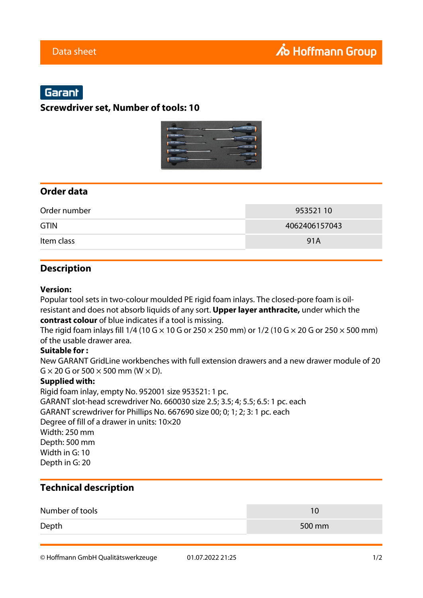# Garant

## **Screwdriver set, Number of tools: 10**



## **Order data**

| Order number | 953521 10     |
|--------------|---------------|
| <b>GTIN</b>  | 4062406157043 |
| Item class   | 91A           |

## **Description**

#### **Version:**

Popular tool sets in two-colour moulded PE rigid foam inlays. The closed-pore foam is oilresistant and does not absorb liquids of any sort. **Upper layer anthracite,** under which the **contrast colour** of blue indicates if a tool is missing.

The rigid foam inlays fill 1/4 (10 G  $\times$  10 G or 250  $\times$  250 mm) or 1/2 (10 G  $\times$  20 G or 250  $\times$  500 mm) of the usable drawer area.

### **Suitable for :**

New GARANT GridLine workbenches with full extension drawers and a new drawer module of 20  $G \times 20$  G or 500  $\times$  500 mm (W  $\times$  D).

### **Supplied with:**

Rigid foam inlay, empty No. 952001 size 953521: 1 pc. GARANT slot-head screwdriver No. 660030 size 2.5; 3.5; 4; 5.5; 6.5: 1 pc. each GARANT screwdriver for Phillips No. 667690 size 00; 0; 1; 2; 3: 1 pc. each Degree of fill of a drawer in units: 10×20 Width: 250 mm Depth: 500 mm Width in G: 10 Depth in G: 20

## **Technical description**

| Number of tools |        |
|-----------------|--------|
| Depth           | 500 mm |